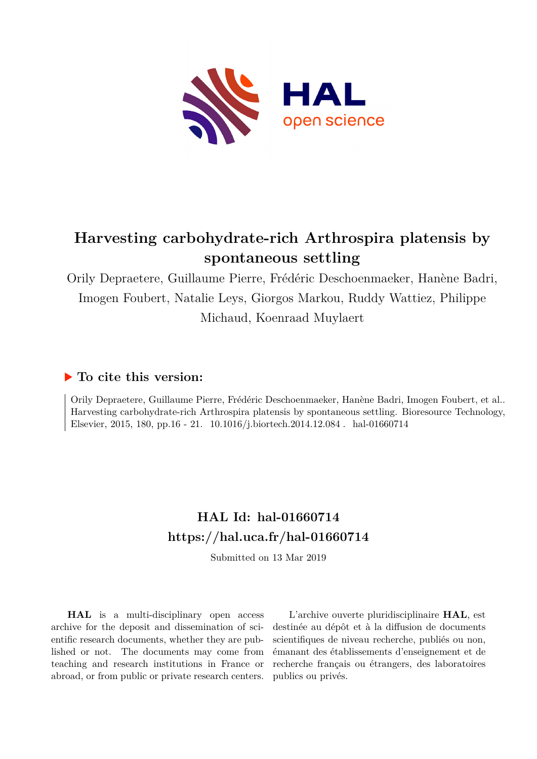

# **Harvesting carbohydrate-rich Arthrospira platensis by spontaneous settling**

Orily Depraetere, Guillaume Pierre, Frédéric Deschoenmaeker, Hanène Badri, Imogen Foubert, Natalie Leys, Giorgos Markou, Ruddy Wattiez, Philippe Michaud, Koenraad Muylaert

# **To cite this version:**

Orily Depraetere, Guillaume Pierre, Frédéric Deschoenmaeker, Hanène Badri, Imogen Foubert, et al.. Harvesting carbohydrate-rich Arthrospira platensis by spontaneous settling. Bioresource Technology, Elsevier, 2015, 180, pp.16 - 21.  $10.1016/j.biortech.2014.12.084$ . hal-01660714

# **HAL Id: hal-01660714 <https://hal.uca.fr/hal-01660714>**

Submitted on 13 Mar 2019

**HAL** is a multi-disciplinary open access archive for the deposit and dissemination of scientific research documents, whether they are published or not. The documents may come from teaching and research institutions in France or abroad, or from public or private research centers.

L'archive ouverte pluridisciplinaire **HAL**, est destinée au dépôt et à la diffusion de documents scientifiques de niveau recherche, publiés ou non, émanant des établissements d'enseignement et de recherche français ou étrangers, des laboratoires publics ou privés.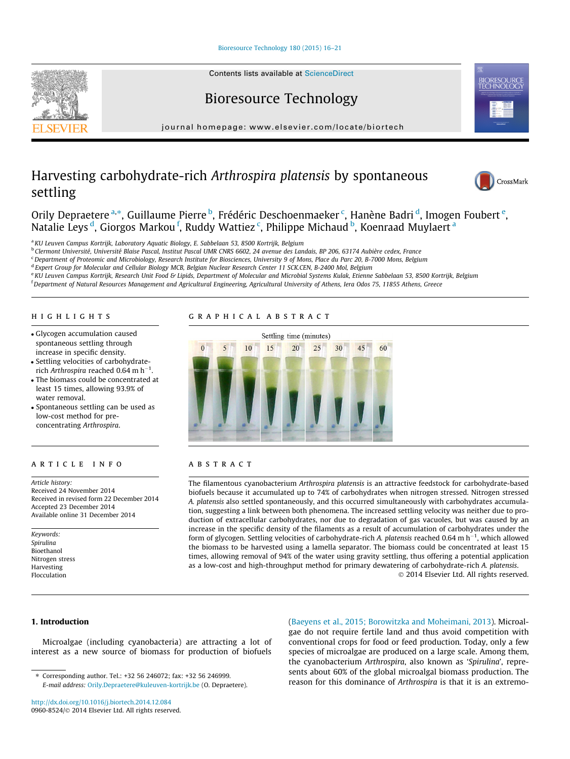### [Bioresource Technology 180 \(2015\) 16–21](http://dx.doi.org/10.1016/j.biortech.2014.12.084)

Contents lists available at [ScienceDirect](http://www.sciencedirect.com/science/journal/09608524)

Bioresource Technology

journal homepage: [www.elsevier.com/locate/biortech](http://www.elsevier.com/locate/biortech)

# Harvesting carbohydrate-rich Arthrospira platensis by spontaneous settling



Orily Depraetere <sup>a,</sup>\*, Guillaume Pierre <sup>b</sup>, Frédéric Deschoenmaeker <sup>c</sup>, Hanène Badri <sup>d</sup>, Imogen Foubert <sup>e</sup>, Natalie Leys <sup>d</sup>, Giorgos Markou <sup>f</sup>, Ruddy Wattiez <sup>c</sup>, Philippe Michaud <sup>b</sup>, Koenraad Muylaert <sup>a</sup>

<sup>a</sup> KU Leuven Campus Kortrijk, Laboratory Aquatic Biology, E. Sabbelaan 53, 8500 Kortrijk, Belgium

<sup>b</sup> Clermont Université, Université Blaise Pascal, Institut Pascal UMR CNRS 6602, 24 avenue des Landais, BP 206, 63174 Aubière cedex, France

<sup>c</sup> Department of Proteomic and Microbiology, Research Institute for Biosciences, University 9 of Mons, Place du Parc 20, B-7000 Mons, Belgium

<sup>d</sup> Expert Group for Molecular and Cellular Biology MCB, Belgian Nuclear Research Center 11 SCK.CEN, B-2400 Mol, Belgium

e KU Leuven Campus Kortrijk, Research Unit Food & Lipids, Department of Molecular and Microbial Systems Kulak, Etienne Sabbelaan 53, 8500 Kortrijk, Belgium

<sup>f</sup> Department of Natural Resources Management and Agricultural Engineering, Agricultural University of Athens, Iera Odos 75, 11855 Athens, Greece

# highlights

- Glycogen accumulation caused spontaneous settling through increase in specific density.
- Settling velocities of carbohydraterich Arthrospira reached 0.64 m h<sup>-1</sup> .
- The biomass could be concentrated at least 15 times, allowing 93.9% of water removal.
- Spontaneous settling can be used as low-cost method for preconcentrating Arthrospira.

# article info

Article history: Received 24 November 2014 Received in revised form 22 December 2014 Accepted 23 December 2014 Available online 31 December 2014

Keywords: Spirulina Bioethanol Nitrogen stress Harvesting Flocculation

# graphical abstract



# **ABSTRACT**

The filamentous cyanobacterium Arthrospira platensis is an attractive feedstock for carbohydrate-based biofuels because it accumulated up to 74% of carbohydrates when nitrogen stressed. Nitrogen stressed A. platensis also settled spontaneously, and this occurred simultaneously with carbohydrates accumulation, suggesting a link between both phenomena. The increased settling velocity was neither due to production of extracellular carbohydrates, nor due to degradation of gas vacuoles, but was caused by an increase in the specific density of the filaments as a result of accumulation of carbohydrates under the form of glycogen. Settling velocities of carbohydrate-rich A. platensis reached 0.64 m  $h^{-1}$ , which allowed the biomass to be harvested using a lamella separator. The biomass could be concentrated at least 15 times, allowing removal of 94% of the water using gravity settling, thus offering a potential application as a low-cost and high-throughput method for primary dewatering of carbohydrate-rich A. platensis. - 2014 Elsevier Ltd. All rights reserved.

# 1. Introduction

Microalgae (including cyanobacteria) are attracting a lot of interest as a new source of biomass for production of biofuels

(Baeyens et al., 2015; Borowitzka and Moheimani, 2013). Microalgae do not require fertile land and thus avoid competition with conventional crops for food or feed production. Today, only a few species of microalgae are produced on a large scale. Among them, the cyanobacterium Arthrospira, also known as 'Spirulina', represents about 60% of the global microalgal biomass production. The reason for this dominance of Arthrospira is that it is an extremo-

<sup>⇑</sup> Corresponding author. Tel.: +32 56 246072; fax: +32 56 246999. E-mail address: [Orily.Depraetere@kuleuven-kortrijk.be](mailto:Orily.Depraetere@kuleuven-kortrijk.be) (O. Depraetere).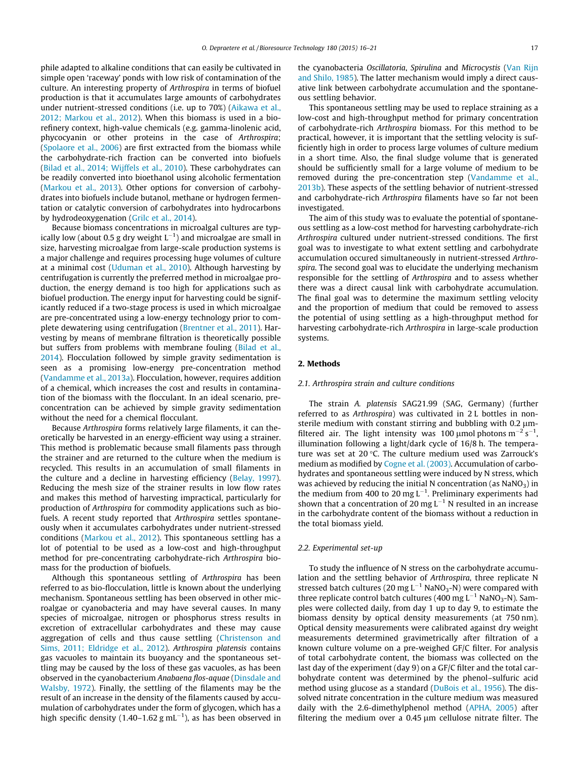phile adapted to alkaline conditions that can easily be cultivated in simple open 'raceway' ponds with low risk of contamination of the culture. An interesting property of Arthrospira in terms of biofuel production is that it accumulates large amounts of carbohydrates under nutrient-stressed conditions (i.e. up to 70%) (Aikawa et al., 2012; Markou et al., 2012). When this biomass is used in a biorefinery context, high-value chemicals (e.g. gamma-linolenic acid, phycocyanin or other proteins in the case of Arthrospira; (Spolaore et al., 2006) are first extracted from the biomass while the carbohydrate-rich fraction can be converted into biofuels (Bilad et al., 2014; Wijffels et al., 2010). These carbohydrates can be readily converted into bioethanol using alcoholic fermentation (Markou et al., 2013). Other options for conversion of carbohydrates into biofuels include butanol, methane or hydrogen fermentation or catalytic conversion of carbohydrates into hydrocarbons by hydrodeoxygenation (Grilc et al., 2014).

Because biomass concentrations in microalgal cultures are typically low (about 0.5 g dry weight  $\mathsf{L}^{-1}$ ) and microalgae are small in size, harvesting microalgae from large-scale production systems is a major challenge and requires processing huge volumes of culture at a minimal cost (Uduman et al., 2010). Although harvesting by centrifugation is currently the preferred method in microalgae production, the energy demand is too high for applications such as biofuel production. The energy input for harvesting could be significantly reduced if a two-stage process is used in which microalgae are pre-concentrated using a low-energy technology prior to complete dewatering using centrifugation (Brentner et al., 2011). Harvesting by means of membrane filtration is theoretically possible but suffers from problems with membrane fouling (Bilad et al., 2014). Flocculation followed by simple gravity sedimentation is seen as a promising low-energy pre-concentration method (Vandamme et al., 2013a). Flocculation, however, requires addition of a chemical, which increases the cost and results in contamination of the biomass with the flocculant. In an ideal scenario, preconcentration can be achieved by simple gravity sedimentation without the need for a chemical flocculant.

Because Arthrospira forms relatively large filaments, it can theoretically be harvested in an energy-efficient way using a strainer. This method is problematic because small filaments pass through the strainer and are returned to the culture when the medium is recycled. This results in an accumulation of small filaments in the culture and a decline in harvesting efficiency (Belay, 1997). Reducing the mesh size of the strainer results in low flow rates and makes this method of harvesting impractical, particularly for production of Arthrospira for commodity applications such as biofuels. A recent study reported that Arthrospira settles spontaneously when it accumulates carbohydrates under nutrient-stressed conditions (Markou et al., 2012). This spontaneous settling has a lot of potential to be used as a low-cost and high-throughput method for pre-concentrating carbohydrate-rich Arthrospira biomass for the production of biofuels.

Although this spontaneous settling of Arthrospira has been referred to as bio-flocculation, little is known about the underlying mechanism. Spontaneous settling has been observed in other microalgae or cyanobacteria and may have several causes. In many species of microalgae, nitrogen or phosphorus stress results in excretion of extracellular carbohydrates and these may cause aggregation of cells and thus cause settling (Christenson and Sims, 2011; Eldridge et al., 2012). Arthrospira platensis contains gas vacuoles to maintain its buoyancy and the spontaneous settling may be caused by the loss of these gas vacuoles, as has been observed in the cyanobacterium Anabaena flos-aquae (Dinsdale and Walsby, 1972). Finally, the settling of the filaments may be the result of an increase in the density of the filaments caused by accumulation of carbohydrates under the form of glycogen, which has a high specific density (1.40–1.62 g mL<sup>-1</sup>), as has been observed in

the cyanobacteria Oscillatoria, Spirulina and Microcystis (Van Rijn and Shilo, 1985). The latter mechanism would imply a direct causative link between carbohydrate accumulation and the spontaneous settling behavior.

This spontaneous settling may be used to replace straining as a low-cost and high-throughput method for primary concentration of carbohydrate-rich Arthrospira biomass. For this method to be practical, however, it is important that the settling velocity is sufficiently high in order to process large volumes of culture medium in a short time. Also, the final sludge volume that is generated should be sufficiently small for a large volume of medium to be removed during the pre-concentration step (Vandamme et al., 2013b). These aspects of the settling behavior of nutrient-stressed and carbohydrate-rich Arthrospira filaments have so far not been investigated.

The aim of this study was to evaluate the potential of spontaneous settling as a low-cost method for harvesting carbohydrate-rich Arthrospira cultured under nutrient-stressed conditions. The first goal was to investigate to what extent settling and carbohydrate accumulation occured simultaneously in nutrient-stressed Arthrospira. The second goal was to elucidate the underlying mechanism responsible for the settling of Arthrospira and to assess whether there was a direct causal link with carbohydrate accumulation. The final goal was to determine the maximum settling velocity and the proportion of medium that could be removed to assess the potential of using settling as a high-throughput method for harvesting carbohydrate-rich Arthrospira in large-scale production systems.

#### 2. Methods

#### 2.1. Arthrospira strain and culture conditions

The strain A. platensis SAG21.99 (SAG, Germany) (further referred to as Arthrospira) was cultivated in 2 L bottles in nonsterile medium with constant stirring and bubbling with  $0.2 \mu$ mfiltered air. The light intensity was 100 µmol photons  $m^{-2}$  s<sup>-1</sup>, illumination following a light/dark cycle of 16/8 h. The temperature was set at 20 $\degree$ C. The culture medium used was Zarrouck's medium as modified by Cogne et al. (2003). Accumulation of carbohydrates and spontaneous settling were induced by N stress, which was achieved by reducing the initial N concentration (as  $NaNO<sub>3</sub>$ ) in the medium from 400 to 20 mg  $L^{-1}$ . Preliminary experiments had shown that a concentration of 20 mg  $L^{-1}$  N resulted in an increase in the carbohydrate content of the biomass without a reduction in the total biomass yield.

#### 2.2. Experimental set-up

To study the influence of N stress on the carbohydrate accumulation and the settling behavior of Arthrospira, three replicate N stressed batch cultures (20 mg  $L^{-1}$  NaNO<sub>3</sub>-N) were compared with three replicate control batch cultures (400 mg  $L^{-1}$  NaNO<sub>3</sub>-N). Samples were collected daily, from day 1 up to day 9, to estimate the biomass density by optical density measurements (at 750 nm). Optical density measurements were calibrated against dry weight measurements determined gravimetrically after filtration of a known culture volume on a pre-weighed GF/C filter. For analysis of total carbohydrate content, the biomass was collected on the last day of the experiment (day 9) on a GF/C filter and the total carbohydrate content was determined by the phenol–sulfuric acid method using glucose as a standard (DuBois et al., 1956). The dissolved nitrate concentration in the culture medium was measured daily with the 2.6-dimethylphenol method (APHA, 2005) after filtering the medium over a  $0.45 \mu m$  cellulose nitrate filter. The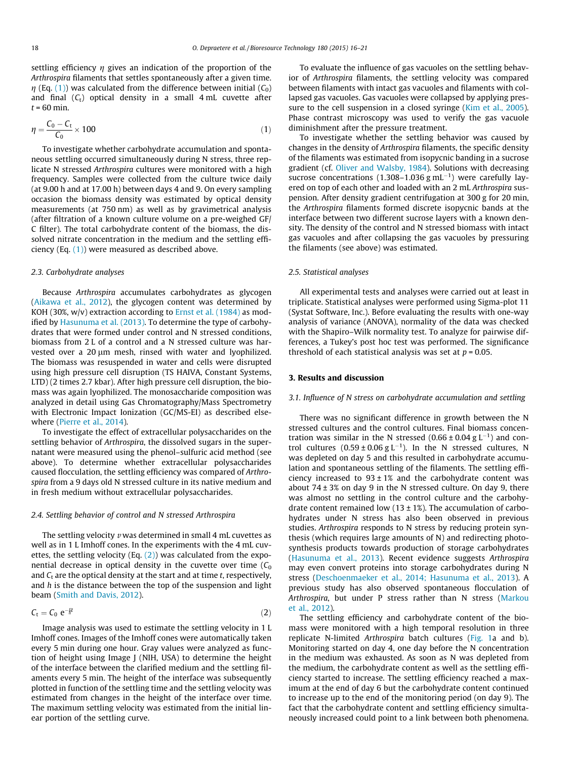settling efficiency  $\eta$  gives an indication of the proportion of the Arthrospira filaments that settles spontaneously after a given time.  $\eta$  (Eq. (1)) was calculated from the difference between initial ( $C_0$ ) and final  $(C_t)$  optical density in a small 4 mL cuvette after  $t = 60$  min.

$$
\eta = \frac{C_0 - C_t}{C_0} \times 100\tag{1}
$$

To investigate whether carbohydrate accumulation and spontaneous settling occurred simultaneously during N stress, three replicate N stressed Arthrospira cultures were monitored with a high frequency. Samples were collected from the culture twice daily (at 9.00 h and at 17.00 h) between days 4 and 9. On every sampling occasion the biomass density was estimated by optical density measurements (at 750 nm) as well as by gravimetrical analysis (after filtration of a known culture volume on a pre-weighed GF/ C filter). The total carbohydrate content of the biomass, the dissolved nitrate concentration in the medium and the settling efficiency (Eq. (1)) were measured as described above.

#### 2.3. Carbohydrate analyses

Because Arthrospira accumulates carbohydrates as glycogen (Aikawa et al., 2012), the glycogen content was determined by KOH (30%,  $w/v$ ) extraction according to Ernst et al. (1984) as modified by Hasunuma et al. (2013). To determine the type of carbohydrates that were formed under control and N stressed conditions, biomass from 2 L of a control and a N stressed culture was harvested over a 20  $\mu$ m mesh, rinsed with water and lyophilized. The biomass was resuspended in water and cells were disrupted using high pressure cell disruption (TS HAIVA, Constant Systems, LTD) (2 times 2.7 kbar). After high pressure cell disruption, the biomass was again lyophilized. The monosaccharide composition was analyzed in detail using Gas Chromatography/Mass Spectrometry with Electronic Impact Ionization (GC/MS-EI) as described elsewhere (Pierre et al., 2014).

To investigate the effect of extracellular polysaccharides on the settling behavior of Arthrospira, the dissolved sugars in the supernatant were measured using the phenol–sulfuric acid method (see above). To determine whether extracellular polysaccharides caused flocculation, the settling efficiency was compared of Arthrospira from a 9 days old N stressed culture in its native medium and in fresh medium without extracellular polysaccharides.

#### 2.4. Settling behavior of control and N stressed Arthrospira

The settling velocity  $\nu$  was determined in small 4 mL cuvettes as well as in 1 L Imhoff cones. In the experiments with the 4 mL cuvettes, the settling velocity (Eq.  $(2)$ ) was calculated from the exponential decrease in optical density in the cuvette over time  $(C_0)$ and  $C_t$  are the optical density at the start and at time  $t$ , respectively, and  $h$  is the distance between the top of the suspension and light beam (Smith and Davis, 2012).

$$
C_t = C_0 e^{-\frac{pt}{\hbar}t}
$$

Image analysis was used to estimate the settling velocity in 1 L Imhoff cones. Images of the Imhoff cones were automatically taken every 5 min during one hour. Gray values were analyzed as function of height using Image J (NIH, USA) to determine the height of the interface between the clarified medium and the settling filaments every 5 min. The height of the interface was subsequently plotted in function of the settling time and the settling velocity was estimated from changes in the height of the interface over time. The maximum settling velocity was estimated from the initial linear portion of the settling curve.

To evaluate the influence of gas vacuoles on the settling behavior of Arthrospira filaments, the settling velocity was compared between filaments with intact gas vacuoles and filaments with collapsed gas vacuoles. Gas vacuoles were collapsed by applying pressure to the cell suspension in a closed syringe (Kim et al., 2005). Phase contrast microscopy was used to verify the gas vacuole diminishment after the pressure treatment.

To investigate whether the settling behavior was caused by changes in the density of Arthrospira filaments, the specific density of the filaments was estimated from isopycnic banding in a sucrose gradient (cf. Oliver and Walsby, 1984). Solutions with decreasing sucrose concentrations (1.308–1.036  $g$  mL<sup>-1</sup>) were carefully layered on top of each other and loaded with an 2 mL Arthrospira suspension. After density gradient centrifugation at 300 g for 20 min, the Arthrospira filaments formed discrete isopycnic bands at the interface between two different sucrose layers with a known density. The density of the control and N stressed biomass with intact gas vacuoles and after collapsing the gas vacuoles by pressuring the filaments (see above) was estimated.

#### 2.5. Statistical analyses

All experimental tests and analyses were carried out at least in triplicate. Statistical analyses were performed using Sigma-plot 11 (Systat Software, Inc.). Before evaluating the results with one-way analysis of variance (ANOVA), normality of the data was checked with the Shapiro–Wilk normality test. To analyze for pairwise differences, a Tukey's post hoc test was performed. The significance threshold of each statistical analysis was set at  $p = 0.05$ .

# 3. Results and discussion

#### 3.1. Influence of N stress on carbohydrate accumulation and settling

There was no significant difference in growth between the N stressed cultures and the control cultures. Final biomass concentration was similar in the N stressed (0.66  $\pm$  0.04 g L<sup>-1</sup>) and control cultures  $(0.59 \pm 0.06 \text{ g L}^{-1})$ . In the N stressed cultures, N was depleted on day 5 and this resulted in carbohydrate accumulation and spontaneous settling of the filaments. The settling efficiency increased to  $93 \pm 1\%$  and the carbohydrate content was about  $74 \pm 3\%$  on day 9 in the N stressed culture. On day 9, there was almost no settling in the control culture and the carbohydrate content remained low (13  $\pm$  1%). The accumulation of carbohydrates under N stress has also been observed in previous studies. Arthrospira responds to N stress by reducing protein synthesis (which requires large amounts of N) and redirecting photosynthesis products towards production of storage carbohydrates (Hasunuma et al., 2013). Recent evidence suggests Arthrospira may even convert proteins into storage carbohydrates during N stress (Deschoenmaeker et al., 2014; Hasunuma et al., 2013). A previous study has also observed spontaneous flocculation of Arthrospira, but under P stress rather than N stress (Markou et al., 2012).

The settling efficiency and carbohydrate content of the biomass were monitored with a high temporal resolution in three replicate N-limited Arthrospira batch cultures (Fig. 1a and b). Monitoring started on day 4, one day before the N concentration in the medium was exhausted. As soon as N was depleted from the medium, the carbohydrate content as well as the settling efficiency started to increase. The settling efficiency reached a maximum at the end of day 6 but the carbohydrate content continued to increase up to the end of the monitoring period (on day 9). The fact that the carbohydrate content and settling efficiency simultaneously increased could point to a link between both phenomena.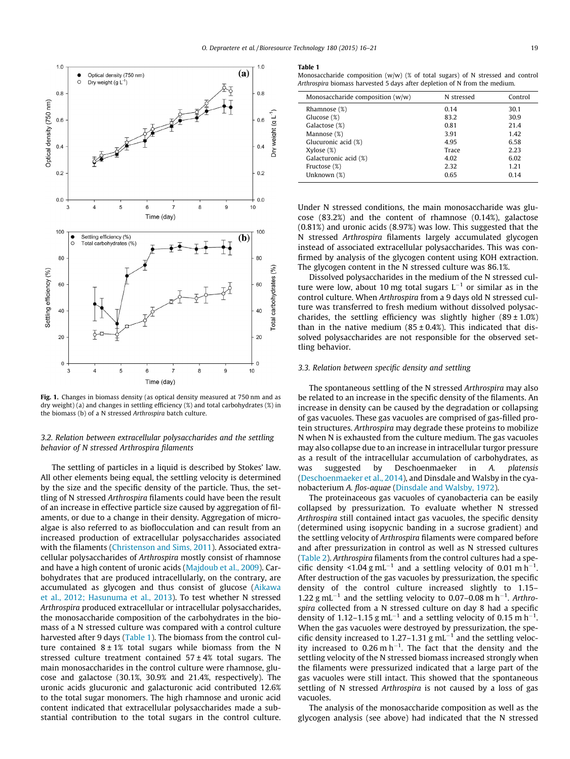

Fig. 1. Changes in biomass density (as optical density measured at 750 nm and as dry weight) (a) and changes in settling efficiency (%) and total carbohydrates (%) in the biomass (b) of a N stressed Arthrospira batch culture.

### 3.2. Relation between extracellular polysaccharides and the settling behavior of N stressed Arthrospira filaments

The settling of particles in a liquid is described by Stokes' law. All other elements being equal, the settling velocity is determined by the size and the specific density of the particle. Thus, the settling of N stressed Arthrospira filaments could have been the result of an increase in effective particle size caused by aggregation of filaments, or due to a change in their density. Aggregation of microalgae is also referred to as bioflocculation and can result from an increased production of extracellular polysaccharides associated with the filaments (Christenson and Sims, 2011). Associated extracellular polysaccharides of Arthrospira mostly consist of rhamnose and have a high content of uronic acids (Majdoub et al., 2009). Carbohydrates that are produced intracellularly, on the contrary, are accumulated as glycogen and thus consist of glucose (Aikawa et al., 2012; Hasunuma et al., 2013). To test whether N stressed Arthrospira produced extracellular or intracellular polysaccharides, the monosaccharide composition of the carbohydrates in the biomass of a N stressed culture was compared with a control culture harvested after 9 days (Table 1). The biomass from the control culture contained  $8 \pm 1\%$  total sugars while biomass from the N stressed culture treatment contained  $57 \pm 4\%$  total sugars. The main monosaccharides in the control culture were rhamnose, glucose and galactose (30.1%, 30.9% and 21.4%, respectively). The uronic acids glucuronic and galacturonic acid contributed 12.6% to the total sugar monomers. The high rhamnose and uronic acid content indicated that extracellular polysaccharides made a substantial contribution to the total sugars in the control culture.

#### Table 1

Monosaccharide composition  $(w/w)$  (% of total sugars) of N stressed and control Arthrospira biomass harvested 5 days after depletion of N from the medium.

| Monosaccharide composition $(w/w)$ | N stressed | Control |
|------------------------------------|------------|---------|
| Rhamnose $(\%)$                    | 0.14       | 30.1    |
| Glucose (%)                        | 83.2       | 30.9    |
| Galactose (%)                      | 0.81       | 21.4    |
| Mannose (%)                        | 3.91       | 1.42    |
| Glucuronic acid (%)                | 4.95       | 6.58    |
| $Xylose (\%)$                      | Trace      | 2.23    |
| Galacturonic acid (%)              | 4.02       | 6.02    |
| Fructose (%)                       | 2.32       | 1.21    |
| Unknown (%)                        | 0.65       | 0.14    |
|                                    |            |         |

Under N stressed conditions, the main monosaccharide was glucose (83.2%) and the content of rhamnose (0.14%), galactose (0.81%) and uronic acids (8.97%) was low. This suggested that the N stressed Arthrospira filaments largely accumulated glycogen instead of associated extracellular polysaccharides. This was confirmed by analysis of the glycogen content using KOH extraction. The glycogen content in the N stressed culture was 86.1%.

Dissolved polysaccharides in the medium of the N stressed culture were low, about 10 mg total sugars  $L^{-1}$  or similar as in the control culture. When Arthrospira from a 9 days old N stressed culture was transferred to fresh medium without dissolved polysaccharides, the settling efficiency was slightly higher  $(89 \pm 1.0\%)$ than in the native medium (85  $\pm$  0.4%). This indicated that dissolved polysaccharides are not responsible for the observed settling behavior.

#### 3.3. Relation between specific density and settling

The spontaneous settling of the N stressed Arthrospira may also be related to an increase in the specific density of the filaments. An increase in density can be caused by the degradation or collapsing of gas vacuoles. These gas vacuoles are comprised of gas-filled protein structures. Arthrospira may degrade these proteins to mobilize N when N is exhausted from the culture medium. The gas vacuoles may also collapse due to an increase in intracellular turgor pressure as a result of the intracellular accumulation of carbohydrates, as was suggested by Deschoenmaeker in A. platensis (Deschoenmaeker et al., 2014), and Dinsdale and Walsby in the cyanobacterium A. flos-aquae (Dinsdale and Walsby, 1972).

The proteinaceous gas vacuoles of cyanobacteria can be easily collapsed by pressurization. To evaluate whether N stressed Arthrospira still contained intact gas vacuoles, the specific density (determined using isopycnic banding in a sucrose gradient) and the settling velocity of Arthrospira filaments were compared before and after pressurization in control as well as N stressed cultures (Table 2). Arthrospira filaments from the control cultures had a specific density <1.04 g mL<sup>-1</sup> and a settling velocity of 0.01 m h<sup>-1</sup>. After destruction of the gas vacuoles by pressurization, the specific density of the control culture increased slightly to 1.15– 1.22 g mL<sup>-1</sup> and the settling velocity to 0.07-0.08 m h<sup>-1</sup>. Arthrospira collected from a N stressed culture on day 8 had a specific density of 1.12-1.15 g mL<sup>-1</sup> and a settling velocity of 0.15 m h<sup>-1</sup>. When the gas vacuoles were destroyed by pressurization, the specific density increased to 1.27–1.31  $g$  mL<sup>-1</sup> and the settling velocity increased to  $0.26$  m h<sup>-1</sup>. The fact that the density and the settling velocity of the N stressed biomass increased strongly when the filaments were pressurized indicated that a large part of the gas vacuoles were still intact. This showed that the spontaneous settling of N stressed Arthrospira is not caused by a loss of gas vacuoles.

The analysis of the monosaccharide composition as well as the glycogen analysis (see above) had indicated that the N stressed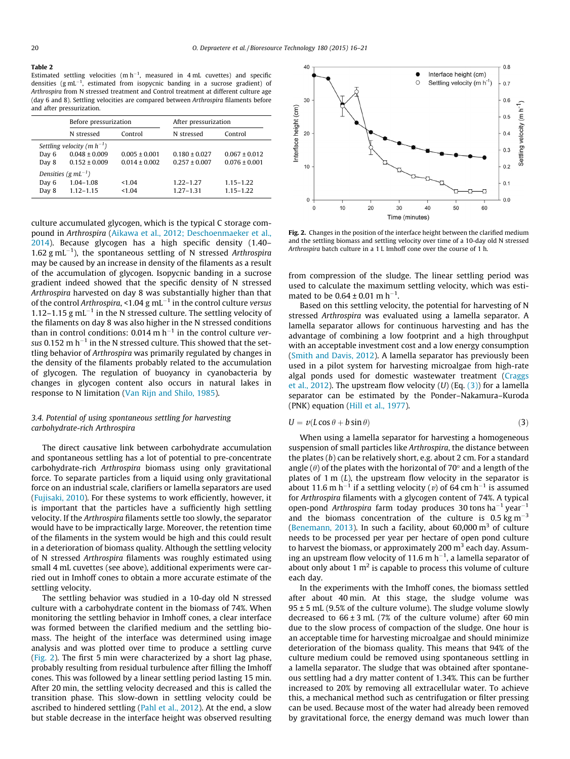#### Table 2

Estimated settling velocities  $(m h^{-1}$ , measured in 4 mL cuvettes) and specific densities ( $g$  mL<sup>-1</sup>, estimated from isopycnic banding in a sucrose gradient) of Arthrospira from N stressed treatment and Control treatment at different culture age (day 6 and 8). Settling velocities are compared between Arthrospira filaments before and after pressurization.

|                                 | Before pressurization |                   | After pressurization |                   |  |
|---------------------------------|-----------------------|-------------------|----------------------|-------------------|--|
|                                 | N stressed            | Control           | N stressed           | Control           |  |
| Settling velocity (m $h^{-1}$ ) |                       |                   |                      |                   |  |
| Day 6                           | $0.048 \pm 0.009$     | $0.005 \pm 0.001$ | $0.180 \pm 0.027$    | $0.067 \pm 0.012$ |  |
| Day 8                           | $0.152 \pm 0.009$     | $0.014 \pm 0.002$ | $0.257 \pm 0.007$    | $0.076 \pm 0.001$ |  |
| Densities (g mL <sup>-1</sup> ) |                       |                   |                      |                   |  |
| Day 6                           | $1.04 - 1.08$         | <1.04             | $1.22 - 1.27$        | $1.15 - 1.22$     |  |
| Day 8                           | $1.12 - 1.15$         | <1.04             | $1.27 - 1.31$        | $1.15 - 1.22$     |  |

culture accumulated glycogen, which is the typical C storage compound in Arthrospira (Aikawa et al., 2012; Deschoenmaeker et al., 2014). Because glycogen has a high specific density (1.40– 1.62 g mL $^{-1}$ ), the spontaneous settling of N stressed Arthrospira may be caused by an increase in density of the filaments as a result of the accumulation of glycogen. Isopycnic banding in a sucrose gradient indeed showed that the specific density of N stressed Arthrospira harvested on day 8 was substantially higher than that of the control Arthrospira, <1.04 g mL<sup> $-1$ </sup> in the control culture versus 1.12–1.15  $g$  mL<sup>-1</sup> in the N stressed culture. The settling velocity of the filaments on day 8 was also higher in the N stressed conditions than in control conditions:  $0.014$  m h<sup>-1</sup> in the control culture versus 0.152 m  $h^{-1}$  in the N stressed culture. This showed that the settling behavior of Arthrospira was primarily regulated by changes in the density of the filaments probably related to the accumulation of glycogen. The regulation of buoyancy in cyanobacteria by changes in glycogen content also occurs in natural lakes in response to N limitation (Van Rijn and Shilo, 1985).

# 3.4. Potential of using spontaneous settling for harvesting carbohydrate-rich Arthrospira

The direct causative link between carbohydrate accumulation and spontaneous settling has a lot of potential to pre-concentrate carbohydrate-rich Arthrospira biomass using only gravitational force. To separate particles from a liquid using only gravitational force on an industrial scale, clarifiers or lamella separators are used (Fujisaki, 2010). For these systems to work efficiently, however, it is important that the particles have a sufficiently high settling velocity. If the Arthrospira filaments settle too slowly, the separator would have to be impractically large. Moreover, the retention time of the filaments in the system would be high and this could result in a deterioration of biomass quality. Although the settling velocity of N stressed Arthrospira filaments was roughly estimated using small 4 mL cuvettes (see above), additional experiments were carried out in Imhoff cones to obtain a more accurate estimate of the settling velocity.

The settling behavior was studied in a 10-day old N stressed culture with a carbohydrate content in the biomass of 74%. When monitoring the settling behavior in Imhoff cones, a clear interface was formed between the clarified medium and the settling biomass. The height of the interface was determined using image analysis and was plotted over time to produce a settling curve (Fig. 2). The first 5 min were characterized by a short lag phase, probably resulting from residual turbulence after filling the Imhoff cones. This was followed by a linear settling period lasting 15 min. After 20 min, the settling velocity decreased and this is called the transition phase. This slow-down in settling velocity could be ascribed to hindered settling (Pahl et al., 2012). At the end, a slow but stable decrease in the interface height was observed resulting



Fig. 2. Changes in the position of the interface height between the clarified medium and the settling biomass and settling velocity over time of a 10-day old N stressed Arthrospira batch culture in a 1 L Imhoff cone over the course of 1 h.

from compression of the sludge. The linear settling period was used to calculate the maximum settling velocity, which was estimated to be  $0.64 \pm 0.01$  m h<sup>-1</sup>.

Based on this settling velocity, the potential for harvesting of N stressed Arthrospira was evaluated using a lamella separator. A lamella separator allows for continuous harvesting and has the advantage of combining a low footprint and a high throughput with an acceptable investment cost and a low energy consumption (Smith and Davis, 2012). A lamella separator has previously been used in a pilot system for harvesting microalgae from high-rate algal ponds used for domestic wastewater treatment (Craggs et al., 2012). The upstream flow velocity  $(U)$  (Eq.  $(3)$ ) for a lamella separator can be estimated by the Ponder–Nakamura–Kuroda (PNK) equation (Hill et al., 1977).

$$
U = v(L\cos\theta + b\sin\theta) \tag{3}
$$

When using a lamella separator for harvesting a homogeneous suspension of small particles like Arthrospira, the distance between the plates (b) can be relatively short, e.g. about 2 cm. For a standard angle ( $\theta$ ) of the plates with the horizontal of 70 $\degree$  and a length of the plates of  $1 \text{ m } (L)$ , the upstream flow velocity in the separator is about 11.6 m h<sup>-1</sup> if a settling velocity (*v*) of 64 cm h<sup>-1</sup> is assumed for Arthrospira filaments with a glycogen content of 74%. A typical open-pond Arthrospira farm today produces 30 tons ha<sup>-1</sup> year<sup>-1</sup> and the biomass concentration of the culture is  $0.5 \text{ kg m}^{-3}$ (Benemann, 2013). In such a facility, about  $60,000 \text{ m}^3$  of culture needs to be processed per year per hectare of open pond culture to harvest the biomass, or approximately 200  $m<sup>3</sup>$  each day. Assuming an upstream flow velocity of 11.6 m  $h^{-1}$ , a lamella separator of about only about 1  $m<sup>2</sup>$  is capable to process this volume of culture each day.

In the experiments with the Imhoff cones, the biomass settled after about 40 min. At this stage, the sludge volume was  $95 \pm 5$  mL (9.5% of the culture volume). The sludge volume slowly decreased to  $66 \pm 3$  mL (7% of the culture volume) after 60 min due to the slow process of compaction of the sludge. One hour is an acceptable time for harvesting microalgae and should minimize deterioration of the biomass quality. This means that 94% of the culture medium could be removed using spontaneous settling in a lamella separator. The sludge that was obtained after spontaneous settling had a dry matter content of 1.34%. This can be further increased to 20% by removing all extracellular water. To achieve this, a mechanical method such as centrifugation or filter pressing can be used. Because most of the water had already been removed by gravitational force, the energy demand was much lower than